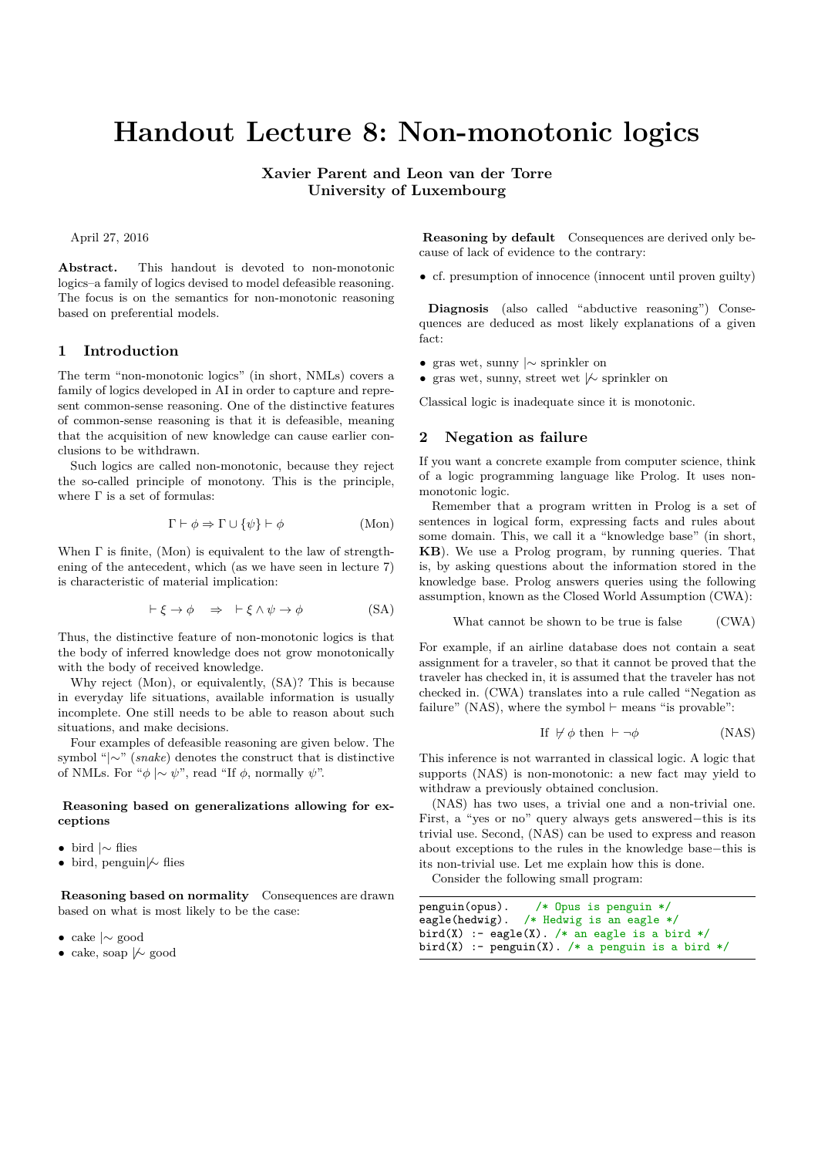# **Handout Lecture 8: Non-monotonic logics**

**Xavier Parent and Leon van der Torre University of Luxembourg**

April 27, 2016

**Abstract.** This handout is devoted to non-monotonic logics–a family of logics devised to model defeasible reasoning. The focus is on the semantics for non-monotonic reasoning based on preferential models.

# **1 Introduction**

The term "non-monotonic logics" (in short, NMLs) covers a family of logics developed in AI in order to capture and represent common-sense reasoning. One of the distinctive features of common-sense reasoning is that it is defeasible, meaning that the acquisition of new knowledge can cause earlier conclusions to be withdrawn.

Such logics are called non-monotonic, because they reject the so-called principle of monotony. This is the principle, where  $\Gamma$  is a set of formulas:

$$
\Gamma \vdash \phi \Rightarrow \Gamma \cup \{\psi\} \vdash \phi \tag{Mon}
$$

When  $\Gamma$  is finite, (Mon) is equivalent to the law of strengthening of the antecedent, which (as we have seen in lecture 7) is characteristic of material implication:

$$
\vdash \xi \to \phi \quad \Rightarrow \quad \vdash \xi \land \psi \to \phi \tag{SA}
$$

Thus, the distinctive feature of non-monotonic logics is that the body of inferred knowledge does not grow monotonically with the body of received knowledge.

Why reject (Mon), or equivalently, (SA)? This is because in everyday life situations, available information is usually incomplete. One still needs to be able to reason about such situations, and make decisions.

Four examples of defeasible reasoning are given below. The symbol "|∼" (*snake*) denotes the construct that is distinctive of NMLs. For " $\phi \sim \psi$ ", read "If  $\phi$ , normally  $\psi$ ".

## **Reasoning based on generalizations allowing for exceptions**

- bird |∼ flies
- bird, penguin $\not\sim$  flies

**Reasoning based on normality** Consequences are drawn based on what is most likely to be the case:

- cake |∼ good
- cake, soap  $\nmid\hspace{-.075cm}\sim$  good

**Reasoning by default** Consequences are derived only because of lack of evidence to the contrary:

• cf. presumption of innocence (innocent until proven guilty)

**Diagnosis** (also called "abductive reasoning") Consequences are deduced as most likely explanations of a given fact:

- gras wet, sunny |∼ sprinkler on
- gras wet, sunny, street wet  $\mathcal{L}$  sprinkler on

Classical logic is inadequate since it is monotonic.

#### **2 Negation as failure**

If you want a concrete example from computer science, think of a logic programming language like Prolog. It uses nonmonotonic logic.

Remember that a program written in Prolog is a set of sentences in logical form, expressing facts and rules about some domain. This, we call it a "knowledge base" (in short, **KB**). We use a Prolog program, by running queries. That is, by asking questions about the information stored in the knowledge base. Prolog answers queries using the following assumption, known as the Closed World Assumption (CWA):

What cannot be shown to be true is false 
$$
(CWA)
$$

For example, if an airline database does not contain a seat assignment for a traveler, so that it cannot be proved that the traveler has checked in, it is assumed that the traveler has not checked in. (CWA) translates into a rule called "Negation as failure" (NAS), where the symbol  $\vdash$  means "is provable":

$$
If \forall \phi \text{ then } \vdash \neg \phi \tag{NAS}
$$

This inference is not warranted in classical logic. A logic that supports (NAS) is non-monotonic: a new fact may yield to withdraw a previously obtained conclusion.

(NAS) has two uses, a trivial one and a non-trivial one. First, a "yes or no" query always gets answered−this is its trivial use. Second, (NAS) can be used to express and reason about exceptions to the rules in the knowledge base−this is its non-trivial use. Let me explain how this is done.

Consider the following small program:

```
penguin(opus). /* Opus is penguin */
eagle(hedwig). /* Hedwig is an eagle */
bird(X) :- eagle(X). /* an eagle is a bird */
bird(X) :- penguin(X). /* a penguin is a bird */
```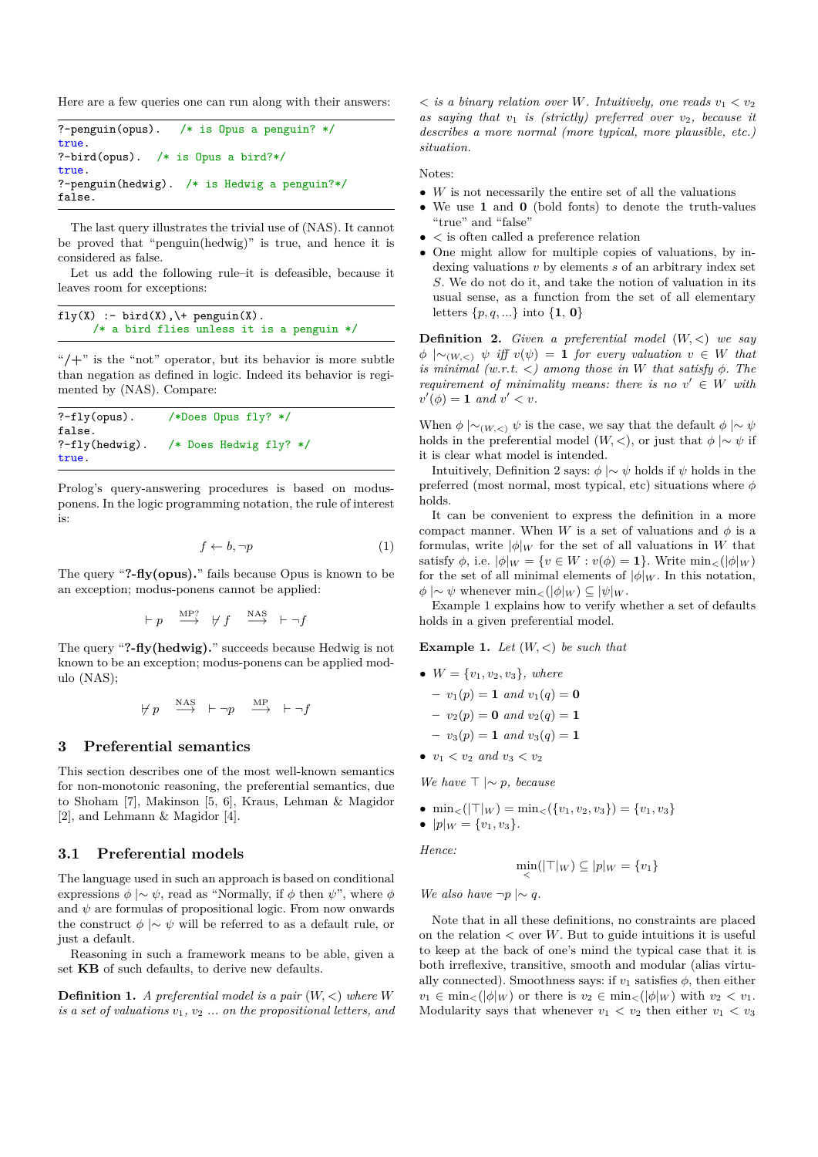Here are a few queries one can run along with their answers:

```
?-penguin(opus). /* is Opus a penguin? */
true.<br>?-bird(opus).
                /* is Opus a bird?*/
true.
?-penguin(hedwig). /* is Hedwig a penguin?*/
false.
```
The last query illustrates the trivial use of (NAS). It cannot be proved that "penguin(hedwig)" is true, and hence it is considered as false.

Let us add the following rule–it is defeasible, because it leaves room for exceptions:

```
fly(X) :- bird(X), \ + penguin(X).
     /* a bird flies unless it is a penguin */
```
"**/+**" is the "not" operator, but its behavior is more subtle than negation as defined in logic. Indeed its behavior is regimented by (NAS). Compare:

```
?-fly(opus). /*Does \n   plus \n   fly? */false.<br>?-fly(hedwig).
                     /* Does Hedwig fly? */
true.
```
Prolog's query-answering procedures is based on modusponens. In the logic programming notation, the rule of interest is:

$$
f \leftarrow b, \neg p \tag{1}
$$

The query "**?-fly(opus).**" fails because Opus is known to be an exception; modus-ponens cannot be applied:

$$
\vdash p \quad \overset{\text{MP?}}{\longrightarrow} \quad \forall \ f \quad \overset{\text{NAS}}{\longrightarrow} \quad \vdash \neg f
$$

The query "**?-fly(hedwig).**" succeeds because Hedwig is not known to be an exception; modus-ponens can be applied modulo (NAS);

$$
\forall \; p \quad \overset{\text{NAS}}{\longrightarrow} \;\; \vdash \neg p \quad \overset{\text{MP}}{\longrightarrow} \;\; \vdash \neg f
$$

## **3 Preferential semantics**

This section describes one of the most well-known semantics for non-monotonic reasoning, the preferential semantics, due to Shoham [7], Makinson [5, 6], Kraus, Lehman & Magidor [2], and Lehmann & Magidor [4].

## **3.1 Preferential models**

The language used in such an approach is based on conditional expressions  $\phi \sim \psi$ , read as "Normally, if  $\phi$  then  $\psi$ ", where  $\phi$ and  $\psi$  are formulas of propositional logic. From now onwards the construct  $\phi \sim \psi$  will be referred to as a default rule, or just a default.

Reasoning in such a framework means to be able, given a set **KB** of such defaults, to derive new defaults.

**Definition 1.** *A preferential model is a pair* (*W, <*) *where W is a set of valuations v*1*, v*<sup>2</sup> *... on the propositional letters, and*  $\langle$  *is a binary relation over W. Intuitively, one reads*  $v_1 \langle v_2 \rangle$ *as saying that v*<sup>1</sup> *is (strictly) preferred over v*2*, because it describes a more normal (more typical, more plausible, etc.) situation.*

Notes:

- *W* is not necessarily the entire set of all the valuations
- We use **1** and **0** (bold fonts) to denote the truth-values "true" and "false"
- *<* is often called a preference relation
- One might allow for multiple copies of valuations, by indexing valuations *v* by elements *s* of an arbitrary index set *S*. We do not do it, and take the notion of valuation in its usual sense, as a function from the set of all elementary letters {*p, q, ...*} into {**1**, **0**}

**Definition 2.** *Given a preferential model* (*W, <*) *we say*  $\phi \sim_{(W,\leq)} \psi$  *iff*  $v(\psi) = 1$  *for every valuation*  $v \in W$  *that is minimal (w.r.t.*  $\lt$ ) among those in *W* that satisfy  $\phi$ . The *requirement of minimality means: there is no*  $v' \in W$  *with*  $v'(\phi) = 1$  *and*  $v' < v$ *.* 

When  $\phi \mid \sim_{(W, \lt)} \psi$  is the case, we say that the default  $\phi \mid \sim \psi$ holds in the preferential model  $(W, <)$ , or just that  $\phi \sim \psi$  if it is clear what model is intended.

Intuitively, Definition 2 says:  $\phi \sim \psi$  holds if  $\psi$  holds in the preferred (most normal, most typical, etc) situations where *φ* holds.

It can be convenient to express the definition in a more compact manner. When *W* is a set of valuations and  $\phi$  is a formulas, write  $|\phi|_W$  for the set of all valuations in *W* that satisfy  $\phi$ , i.e.  $|\phi|_W = \{v \in W : v(\phi) = 1\}$ . Write min<sub><</sub>( $|\phi|_W$ ) for the set of all minimal elements of  $|\phi|_W$ . In this notation,  $\phi \sim \psi$  whenever  $\min_{\lt}(|\phi|_W) \subseteq |\psi|_W$ .

Example 1 explains how to verify whether a set of defaults holds in a given preferential model.

**Example 1.** *Let* (*W, <*) *be such that*

- $W = \{v_1, v_2, v_3\}$ *, where*  $v_1(p) = 1$  *and*  $v_1(q) = 0$  $v_2(p) = 0$  *and*  $v_2(q) = 1$ 
	- $v_3(p) = 1$  *and*  $v_3(q) = 1$
- $v_1 < v_2$  *and*  $v_3 < v_2$

*We have*  $\top \sim p$ *, because* 

- $\min_{\leq}(|\mathcal{T}|_W) = \min_{\leq}(\{v_1, v_2, v_3\}) = \{v_1, v_3\}$
- $|p|_W = \{v_1, v_3\}.$

*Hence:*

$$
\min_{\leq} (|\top|_W) \subseteq |p|_W = \{v_1\}
$$

*We also have*  $\neg p \mid \sim q$ *.* 

Note that in all these definitions, no constraints are placed on the relation  $\lt$  over *W*. But to guide intuitions it is useful to keep at the back of one's mind the typical case that it is both irreflexive, transitive, smooth and modular (alias virtually connected). Smoothness says: if  $v_1$  satisfies  $\phi$ , then either  $v_1 \in \min_{\leq} (|\phi|_W)$  or there is  $v_2 \in \min_{\leq} (|\phi|_W)$  with  $v_2 \leq v_1$ . Modularity says that whenever  $v_1 < v_2$  then either  $v_1 < v_3$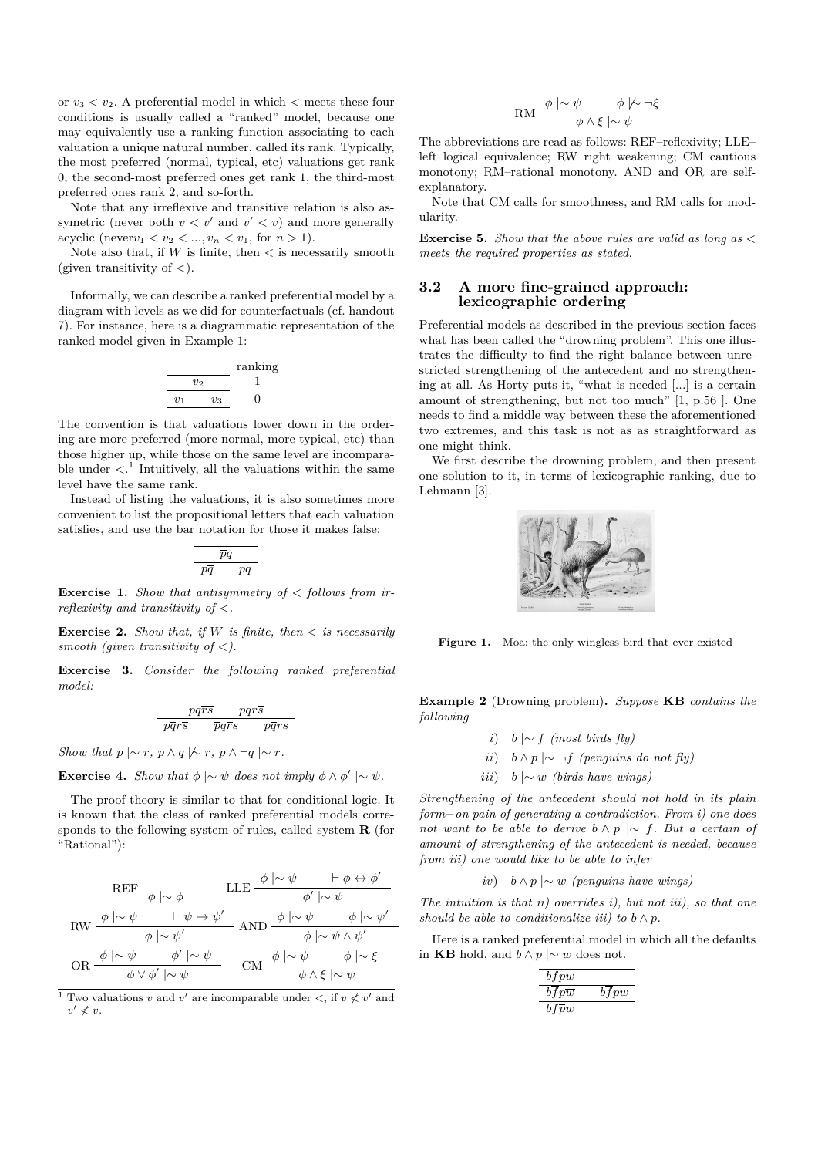or  $v_3 < v_2$ . A preferential model in which  $\lt$  meets these four conditions is usually called a "ranked" model, because one may equivalently use a ranking function associating to each valuation a unique natural number, called its rank. Typically, the most preferred (normal, typical, etc) valuations get rank 0, the second-most preferred ones get rank 1, the third-most preferred ones rank 2, and so-forth.

Note that any irreflexive and transitive relation is also assymetric (never both  $v < v'$  and  $v' < v$ ) and more generally acyclic (never $v_1 < v_2 < ..., v_n < v_1$ , for  $n > 1$ ).

Note also that, if *W* is finite, then *<* is necessarily smooth (given transitivity of *<*).

Informally, we can describe a ranked preferential model by a diagram with levels as we did for counterfactuals (cf. handout 7). For instance, here is a diagrammatic representation of the ranked model given in Example 1:

$$
\frac{v_2}{\frac{v_2}{\frac{v_1}{\cdots}\frac{v_3}{\cdots}}} \quad \frac{\text{ranking}}{0}
$$

The convention is that valuations lower down in the ordering are more preferred (more normal, more typical, etc) than those higher up, while those on the same level are incomparable under  $\langle \cdot \rangle^1$  Intuitively, all the valuations within the same level have the same rank.

Instead of listing the valuations, it is also sometimes more convenient to list the propositional letters that each valuation satisfies, and use the bar notation for those it makes false:

$$
\begin{array}{c}\n \overline{pq} \\
 \hline\n \overline{pq} \quad\n \overline{pq}\n \end{array}
$$

**Exercise 1.** *Show that antisymmetry of*  $\lt$  *follows from irreflexivity and transitivity of <.*

**Exercise 2.** *Show that, if W is finite, then*  $\lt$  *is necessarily smooth (given transitivity of <).*

**Exercise 3.** *Consider the following ranked preferential model:*

$$
\begin{tabular}{cc} \hline \rule[0.3ex]{0ex}{0ex} \rule[0.3ex]{0ex}{0ex} \rule[0.3ex]{0ex}{0ex} \rule[0.3ex]{0ex}{0ex} \rule[0.3ex]{0ex}{0ex} \rule[0.3ex]{0ex}{0ex} \rule[0.3ex]{0ex}{0ex} \rule[0.3ex]{0ex}{0ex} \rule[0.3ex]{0ex}{0ex} \rule[0.3ex]{0ex}{0ex} \rule[0.3ex]{0ex}{0ex} \rule[0.3ex]{0ex}{0ex} \rule[0.3ex]{0ex}{0ex} \rule[0.3ex]{0ex}{0ex} \rule[0.3ex]{0ex}{0ex} \rule[0.3ex]{0ex}{0ex} \rule[0.3ex]{0ex}{0ex} \rule[0.3ex]{0ex}{0ex} \rule[0.3ex]{0ex}{0ex} \rule[0.3ex]{0ex}{0ex} \rule[0.3ex]{0ex}{0ex} \rule[0.3ex]{0ex}{0ex} \rule[0.3ex]{0ex}{0ex} \rule[0.3ex]{0ex}{0ex} \rule[0.3ex]{0ex}{0ex} \rule[0.3ex]{0ex}{0ex} \rule[0.3ex]{0ex}{0ex} \rule[0.3ex]{0ex}{0ex} \rule[0.3ex]{0ex}{0ex} \rule[0.3ex]{0ex}{0ex} \rule[0.3ex]{0ex}{0ex} \rule[0.3ex]{0ex}{0ex} \rule[0.3ex]{0ex}{0ex} \rule[0.3ex]{0ex}{0ex} \rule[0.3ex]{0ex}{0ex} \rule[0.3ex]{0ex}{0ex} \rule[0.3ex]{0ex}{0ex} \rule[0.3ex]{0ex}{0ex} \rule[0.3ex]{0ex}{0ex} \rule[0.3ex]{0ex}{0ex} \rule[0.3ex]{0ex}{0ex} \rule[0.3ex]{0ex}{0ex} \rule[0.3ex]{0ex}{0ex} \rule[0.3ex]{0ex}{0ex} \rule[0.3ex]{0ex}{0ex} \rule[0.3ex]{0ex}{0ex} \rule[0.3ex]{0ex}{0ex} \rule[0.3ex]{0ex}{0ex} \rule[0.3ex]{0ex}{0ex} \rule[0.3ex]{0ex}{0ex} \rule[0.3ex]{0ex}{0ex} \rule[0.3ex]{0ex}{0ex} \rule[0.3ex]{0ex}{0ex} \rule[0.3ex
$$

*Show that*  $p \mid \sim r$ ,  $p \wedge q \mid \sim r$ ,  $p \wedge \neg q \mid \sim r$ .

**Exercise 4.** *Show that*  $\phi \sim \psi$  *does not imply*  $\phi \wedge \phi' \sim \psi$ *.* 

The proof-theory is similar to that for conditional logic. It is known that the class of ranked preferential models corresponds to the following system of rules, called system **R** (for "Rational"):

$$
\begin{array}{ccc}\n\text{REF} & \xrightarrow{\phi|\sim\phi} & \text{LLE} \xrightarrow{\phi|\sim\psi} & \vdash \phi \leftrightarrow \phi' \\
\text{RW} & \xrightarrow{\phi|\sim\psi} & \vdash \psi \rightarrow \psi' & \phi'|\sim\psi \\
\hline\n\phi & \xrightarrow{\phi|\sim\psi'} & \text{AND} & \xrightarrow{\phi|\sim\psi} & \phi|\sim\psi' \\
\text{OR} & \xrightarrow{\phi|\sim\psi} & \phi'|\sim\psi & \text{CM} & \xrightarrow{\phi|\sim\psi} & \phi|\sim\xi \\
\hline\n\phi \lor \phi'|\sim\psi & \text{CM} & \xrightarrow{\phi|\sim\psi} & \phi \land \xi|\sim\psi\n\end{array}
$$

<sup>1</sup> Two valuations *v* and *v'* are incomparable under  $\lt$ , if  $v \nless v'$  and  $v' \nless v.$ 

$$
\mathrm{RM} \frac{\phi \mid \sim \psi \qquad \phi \mid \sim \neg \xi}{\phi \land \xi \mid \sim \psi}
$$

The abbreviations are read as follows: REF–reflexivity; LLE– left logical equivalence; RW–right weakening; CM–cautious monotony; RM–rational monotony. AND and OR are selfexplanatory.

Note that CM calls for smoothness, and RM calls for modularity.

**Exercise 5.** *Show that the above rules are valid as long as < meets the required properties as stated.*

## **3.2 A more fine-grained approach: lexicographic ordering**

Preferential models as described in the previous section faces what has been called the "drowning problem". This one illustrates the difficulty to find the right balance between unrestricted strengthening of the antecedent and no strengthening at all. As Horty puts it, "what is needed [...] is a certain amount of strengthening, but not too much" [1, p.56 ]. One needs to find a middle way between these the aforementioned two extremes, and this task is not as as straightforward as one might think.

We first describe the drowning problem, and then present one solution to it, in terms of lexicographic ranking, due to Lehmann [3].



Figure 1. Moa: the only wingless bird that ever existed

**Example 2** (Drowning problem)**.** *Suppose* **KB** *contains the following*

- *i*) *b* |∼ *f (most birds fly)*
- *ii*)  $b \wedge p \mid ∼ \neg f$  *(penguins do not fly)*
- *iii*) *b* |∼ *w (birds have wings)*

*Strengthening of the antecedent should not hold in its plain form*−*on pain of generating a contradiction. From i) one does not want to be able to derive b* ∧ *p* |∼ *f. But a certain of amount of strengthening of the antecedent is needed, because from iii) one would like to be able to infer*

*iv*) *b* ∧ *p* |∼ *w (penguins have wings)*

*The intuition is that ii) overrides i), but not iii), so that one should be able to conditionalize iii) to*  $b \wedge p$ *.* 

Here is a ranked preferential model in which all the defaults in **KB** hold, and  $b \land p \mid ∼ w$  does not.

| $b$ f pw              |           |
|-----------------------|-----------|
| $b$ f $p\overline{w}$ | $^{bfpw}$ |
| $bf\bar{p}w$          |           |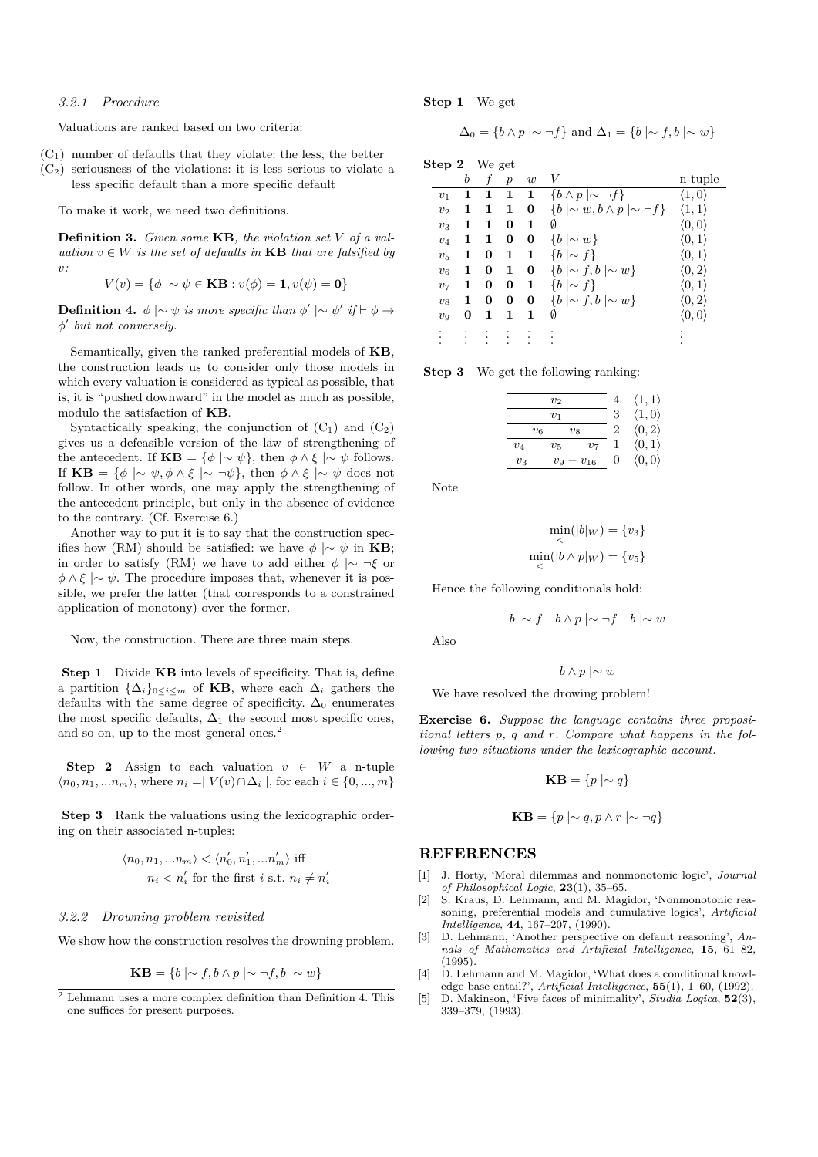#### *3.2.1 Procedure*

Valuations are ranked based on two criteria:

- $(C_1)$  number of defaults that they violate: the less, the better
- $(C_2)$  seriousness of the violations: it is less serious to violate a less specific default than a more specific default

To make it work, we need two definitions.

**Definition 3.** *Given some* **KB***, the violation set V of a valuation*  $v \in W$  *is the set of defaults in* **KB** *that are falsified by v:*

$$
V(v) = \{ \phi \mid \sim \psi \in \mathbf{KB} : v(\phi) = 1, v(\psi) = 0 \}
$$

**Definition 4.**  $\phi \sim \psi$  *is more specific than*  $\phi' \sim \psi'$  *if*  $\vdash \phi \rightarrow$ *φ* 0 *but not conversely.*

Semantically, given the ranked preferential models of **KB**, the construction leads us to consider only those models in which every valuation is considered as typical as possible, that is, it is "pushed downward" in the model as much as possible, modulo the satisfaction of **KB**.

Syntactically speaking, the conjunction of  $(C_1)$  and  $(C_2)$ gives us a defeasible version of the law of strengthening of the antecedent. If  $\mathbf{KB} = \{\phi \mid \sim \psi\}$ , then  $\phi \wedge \xi \mid \sim \psi$  follows. If  $\mathbf{KB} = \{ \phi \mid \sim \psi, \phi \land \xi \mid \sim \neg \psi \},\$  then  $\phi \land \xi \mid \sim \psi \text{ does not}$ follow. In other words, one may apply the strengthening of the antecedent principle, but only in the absence of evidence to the contrary. (Cf. Exercise 6.)

Another way to put it is to say that the construction specifies how (RM) should be satisfied: we have  $\phi \sim \psi$  in **KB**; in order to satisfy (RM) we have to add either  $\phi \sim \neg \xi$  or  $\phi \wedge \xi \sim \psi$ . The procedure imposes that, whenever it is possible, we prefer the latter (that corresponds to a constrained application of monotony) over the former.

Now, the construction. There are three main steps.

**Step 1** Divide **KB** into levels of specificity. That is, define a partition  $\{\Delta_i\}_{0\leq i\leq m}$  of **KB**, where each  $\Delta_i$  gathers the defaults with the same degree of specificity.  $\Delta_0$  enumerates the most specific defaults,  $\Delta_1$  the second most specific ones, and so on, up to the most general ones.<sup>2</sup>

**Step 2** Assign to each valuation  $v \in W$  a n-tuple  $\langle n_0, n_1, ... n_m \rangle$ , where  $n_i = | V(v) \cap \Delta_i |$ , for each  $i \in \{0, ..., m\}$ 

**Step 3** Rank the valuations using the lexicographic ordering on their associated n-tuples:

$$
\langle n_0, n_1, \ldots n_m \rangle < \langle n'_0, n'_1, \ldots n'_m \rangle \text{ iff } \\
n_i < n'_i \text{ for the first } i \text{ s.t. } n_i \neq n
$$

0 *i*

#### *3.2.2 Drowning problem revisited*

We show how the construction resolves the drowning problem.

$$
\mathbf{KB} = \{ b \mid \sim f, b \land p \mid \sim \neg f, b \mid \sim w \}
$$

**Step 1** We get

$$
\Delta_0 = \{ b \wedge p \mid \sim \neg f \} \text{ and } \Delta_1 = \{ b \mid \sim f, b \mid \sim w \}
$$

**Step 2** We get

|                | b | f | $\boldsymbol{p}$ | w | V                                                | n-tuple                |
|----------------|---|---|------------------|---|--------------------------------------------------|------------------------|
| $v_1$          | 1 |   | $\mathbf{1}$     | 1 | $\{b \wedge p \mid \sim \neg f\}$                | $\langle 1,0 \rangle$  |
| v <sub>2</sub> | 1 | 1 | 1                | 0 | $\{b \mid \sim w, b \wedge p \mid \sim \neg f\}$ | $\langle 1,1\rangle$   |
| $v_3$          | 1 | 1 | 0                | 1 | Ø                                                | $\langle 0,0 \rangle$  |
| $v_4$          | 1 | 1 | 0                | 0 | $\{b \mid \sim w\}$                              | $\langle 0, 1 \rangle$ |
| $v_{5}$        | 1 | 0 | 1                | 1 | $\{b \mid \sim f\}$                              | $\langle 0,1\rangle$   |
| v <sub>6</sub> | 1 | 0 | 1                | 0 | $\{b \mid \sim f, b \mid \sim w\}$               | $\langle 0, 2 \rangle$ |
| $v_7$          | 1 | 0 | 0                | 1 | $\{b \mid \sim f\}$                              | $\langle 0,1\rangle$   |
| $v_8$          | 1 | 0 | 0                | 0 | $\{b \mid \sim f, b \mid \sim w\}$               | $\langle 0,2\rangle$   |
| $v_{9}$        | 0 |   | 1                | 1 | Ø                                                | $\langle 0,0 \rangle$  |
|                |   |   |                  |   |                                                  |                        |

**Step 3** We get the following ranking:

|       | $v_2$        |                            | $\langle 1,1\rangle$   |
|-------|--------------|----------------------------|------------------------|
|       | $\upsilon_1$ | 3                          | $\langle 1,0 \rangle$  |
| $v_6$ | $v_8$        |                            | $\langle 0, 2 \rangle$ |
| $v_4$ | $v_{5}$      | $v_7$                      | $\langle 0,1 \rangle$  |
| $v_3$ | $v_{9}$      | $\mathbf{0}$<br>$- v_{16}$ | $\langle 0,0 \rangle$  |

Note

$$
\min_{\lt \atop \lt} (|b|_W) = \{v_3\}
$$

$$
\min_{\lt} (|b \wedge p|_W) = \{v_5\}
$$

Hence the following conditionals hold:

$$
b \mid \sim f \quad b \wedge p \mid \sim \neg f \quad b \mid \sim w
$$

Also

$$
b \wedge p \mid \sim w
$$

We have resolved the drowing problem!

**Exercise 6.** *Suppose the language contains three propositional letters p, q and r. Compare what happens in the following two situations under the lexicographic account.*

$$
KB = \{ p \mid \sim q \}
$$

$$
\mathbf{KB} = \{ p \mid \sim q, p \land r \mid \sim \neg q \}
$$

#### **REFERENCES**

- [1] J. Horty, 'Moral dilemmas and nonmonotonic logic', *Journal of Philosophical Logic*, **23**(1), 35–65.
- [2] S. Kraus, D. Lehmann, and M. Magidor, 'Nonmonotonic reasoning, preferential models and cumulative logics', *Artificial Intelligence*, **44**, 167–207, (1990).
- [3] D. Lehmann, 'Another perspective on default reasoning', *Annals of Mathematics and Artificial Intelligence*, **15**, 61–82,  $(1995)$ .
- [4] D. Lehmann and M. Magidor, 'What does a conditional knowledge base entail?', *Artificial Intelligence*, **55**(1), 1–60, (1992).
- [5] D. Makinson, 'Five faces of minimality', *Studia Logica*, **52**(3), 339–379, (1993).

 $\overline{2}$  Lehmann uses a more complex definition than Definition 4. This one suffices for present purposes.